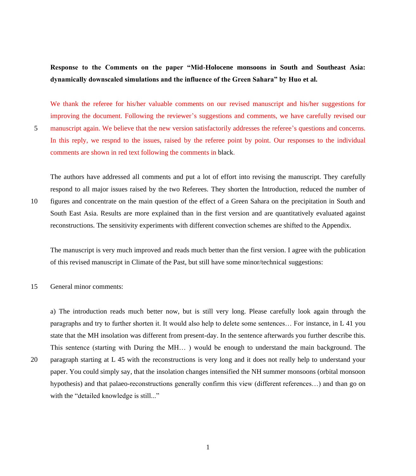**Response to the Comments on the paper "Mid-Holocene monsoons in South and Southeast Asia: dynamically downscaled simulations and the influence of the Green Sahara" by Huo et al.**

We thank the referee for his/her valuable comments on our revised manuscript and his/her suggestions for improving the document. Following the reviewer's suggestions and comments, we have carefully revised our 5 manuscript again. We believe that the new version satisfactorily addresses the referee's questions and concerns. In this reply, we respnd to the issues, raised by the referee point by point. Our responses to the individual comments are shown in red text following the comments in black.

The authors have addressed all comments and put a lot of effort into revising the manuscript. They carefully respond to all major issues raised by the two Referees. They shorten the Introduction, reduced the number of 10 figures and concentrate on the main question of the effect of a Green Sahara on the precipitation in South and South East Asia. Results are more explained than in the first version and are quantitatively evaluated against reconstructions. The sensitivity experiments with different convection schemes are shifted to the Appendix.

The manuscript is very much improved and reads much better than the first version. I agree with the publication of this revised manuscript in Climate of the Past, but still have some minor/technical suggestions:

15 General minor comments:

a) The introduction reads much better now, but is still very long. Please carefully look again through the paragraphs and try to further shorten it. It would also help to delete some sentences… For instance, in L 41 you state that the MH insolation was different from present-day. In the sentence afterwards you further describe this. This sentence (starting with During the MH… ) would be enough to understand the main background. The 20 paragraph starting at L 45 with the reconstructions is very long and it does not really help to understand your paper. You could simply say, that the insolation changes intensified the NH summer monsoons (orbital monsoon

hypothesis) and that palaeo-reconstructions generally confirm this view (different references…) and than go on with the "detailed knowledge is still..."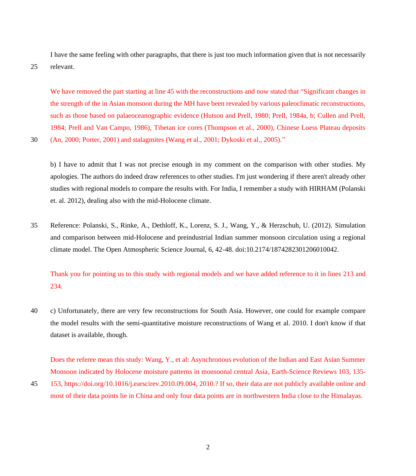I have the same feeling with other paragraphs, that there is just too much information given that is not necessarily 25 relevant.

We have removed the part starting at line 45 with the reconstructions and now stated that "Significant changes in the strength of the in Asian monsoon during the MH have been revealed by various paleoclimatic reconstructions, such as those based on palaeoceanographic evidence (Hutson and Prell, 1980; Prell, 1984a, b; Cullen and Prell, 1984; Prell and Van Campo, 1986), Tibetan ice cores (Thompson et al., 2000), Chinese Loess Plateau deposits 30 (An, 2000; Porter, 2001) and stalagmites (Wang et al., 2001; Dykoski et al., 2005)."

b) I have to admit that I was not precise enough in my comment on the comparison with other studies. My apologies. The authors do indeed draw references to other studies. I'm just wondering if there aren't already other studies with regional models to compare the results with. For India, I remember a study with HIRHAM (Polanski et. al. 2012), dealing also with the mid-Holocene climate.

35 Reference: Polanski, S., Rinke, A., Dethloff, K., Lorenz, S. J., Wang, Y., & Herzschuh, U. (2012). Simulation and comparison between mid-Holocene and preindustrial Indian summer monsoon circulation using a regional climate model. The Open Atmospheric Science Journal, 6, 42-48. doi:10.2174/1874282301206010042.

Thank you for pointing us to this study with regional models and we have added reference to it in lines 213 and 234.

40 c) Unfortunately, there are very few reconstructions for South Asia. However, one could for example compare the model results with the semi-quantitative moisture reconstructions of Wang et al. 2010. I don't know if that dataset is available, though.

Does the referee mean this study: Wang, Y., et al: Asynchronous evolution of the Indian and East Asian Summer Monsoon indicated by Holocene moisture patterns in monsoonal central Asia, Earth-Science Reviews 103, 135-

45 153, https://doi.org/10.1016/j.earscirev.2010.09.004, 2010.? If so, their data are not publicly available online and most of their data points lie in China and only four data points are in northwestern India close to the Himalayas.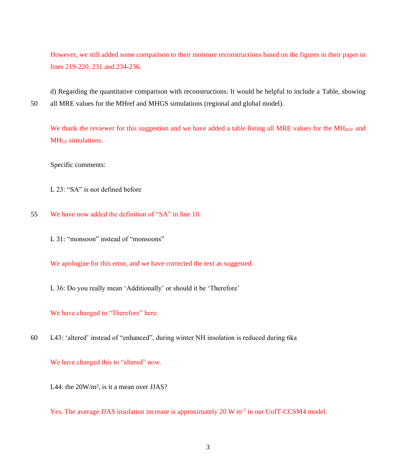However, we still added some comparison to their moisture reconstructions based on the figures in their paper in lines 219-220, 231 and 234-236.

d) Regarding the quantitative comparison with reconstructions: It would be helpful to include a Table, showing 50 all MRE values for the MHref and MHGS simulations (regional and global model).

We thank the reviewer for this suggestion and we have added a table listing all MRE values for the MH<sub>REF</sub> and MH<sub>GS</sub> simulations.

Specific comments:

L 23: "SA" is not defined before

- 55 We have now added the definition of "SA" in line 10.
	- L 31: "monsoon" instead of "monsoons"

We apologize for this error, and we have corrected the text as suggested.

L 36: Do you really mean 'Additionally' or should it be 'Therefore'

## We have changed to "Therefore" here.

60 L43: 'altered' instead of "enhanced", during winter NH insolation is reduced during 6ka

We have changed this to "altered" now.

L44: the 20W/m<sup>2</sup>, is it a mean over JJAS?

Yes. The average JJAS insolation increase is approximately 20 W m<sup>-2</sup> in our UofT-CCSM4 model.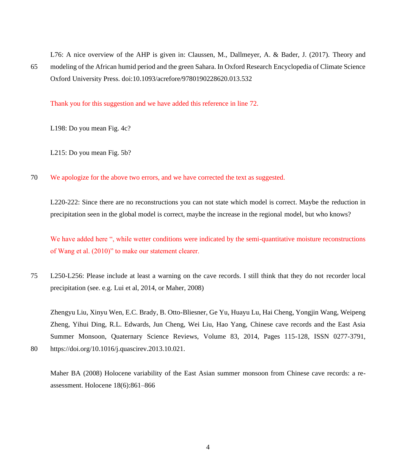L76: A nice overview of the AHP is given in: Claussen, M., Dallmeyer, A. & Bader, J. (2017). Theory and 65 modeling of the African humid period and the green Sahara. In Oxford Research Encyclopedia of Climate Science Oxford University Press. doi:10.1093/acrefore/9780190228620.013.532

Thank you for this suggestion and we have added this reference in line 72.

L198: Do you mean Fig. 4c?

L215: Do you mean Fig. 5b?

70 We apologize for the above two errors, and we have corrected the text as suggested.

L220-222: Since there are no reconstructions you can not state which model is correct. Maybe the reduction in precipitation seen in the global model is correct, maybe the increase in the regional model, but who knows?

We have added here ", while wetter conditions were indicated by the semi-quantitative moisture reconstructions of Wang et al. (2010)" to make our statement clearer.

75 L250-L256: Please include at least a warning on the cave records. I still think that they do not recorder local precipitation (see. e.g. Lui et al, 2014, or Maher, 2008)

Zhengyu Liu, Xinyu Wen, E.C. Brady, B. Otto-Bliesner, Ge Yu, Huayu Lu, Hai Cheng, Yongjin Wang, Weipeng Zheng, Yihui Ding, R.L. Edwards, Jun Cheng, Wei Liu, Hao Yang, Chinese cave records and the East Asia Summer Monsoon, Quaternary Science Reviews, Volume 83, 2014, Pages 115-128, ISSN 0277-3791,

80 https://doi.org/10.1016/j.quascirev.2013.10.021.

Maher BA (2008) Holocene variability of the East Asian summer monsoon from Chinese cave records: a reassessment. Holocene 18(6):861–866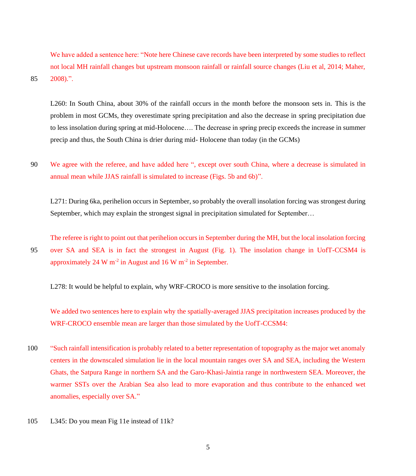We have added a sentence here: "Note here Chinese cave records have been interpreted by some studies to reflect not local MH rainfall changes but upstream monsoon rainfall or rainfall source changes (Liu et al, 2014; Maher, 85 2008).".

L260: In South China, about 30% of the rainfall occurs in the month before the monsoon sets in. This is the problem in most GCMs, they overestimate spring precipitation and also the decrease in spring precipitation due to less insolation during spring at mid-Holocene…. The decrease in spring precip exceeds the increase in summer precip and thus, the South China is drier during mid- Holocene than today (in the GCMs)

90 We agree with the referee, and have added here ", except over south China, where a decrease is simulated in annual mean while JJAS rainfall is simulated to increase (Figs. 5b and 6b)".

L271: During 6ka, perihelion occurs in September, so probably the overall insolation forcing was strongest during September, which may explain the strongest signal in precipitation simulated for September…

The referee is right to point out that perihelion occurs in September during the MH, but the local insolation forcing 95 over SA and SEA is in fact the strongest in August (Fig. 1). The insolation change in UofT-CCSM4 is approximately 24 W  $m^{-2}$  in August and 16 W  $m^{-2}$  in September.

L278: It would be helpful to explain, why WRF-CROCO is more sensitive to the insolation forcing.

We added two sentences here to explain why the spatially-averaged JJAS precipitation increases produced by the WRF-CROCO ensemble mean are larger than those simulated by the UofT-CCSM4:

- 100 "Such rainfall intensification is probably related to a better representation of topography as the major wet anomaly centers in the downscaled simulation lie in the local mountain ranges over SA and SEA, including the Western Ghats, the Satpura Range in northern SA and the Garo-Khasi-Jaintia range in northwestern SEA. Moreover, the warmer SSTs over the Arabian Sea also lead to more evaporation and thus contribute to the enhanced wet anomalies, especially over SA."
- 105 L345: Do you mean Fig 11e instead of 11k?

5